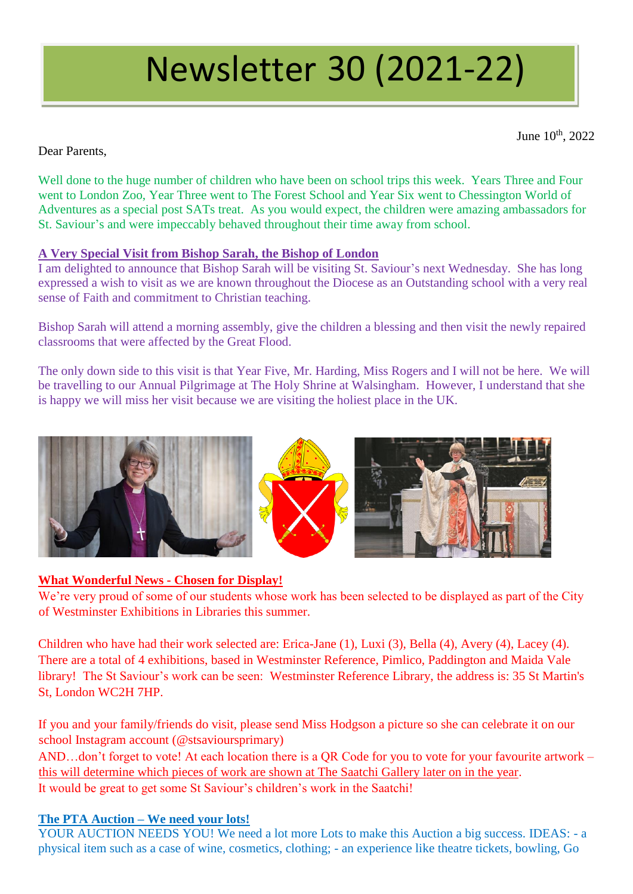# Newsletter 30 (2021-22)

June  $10^{th}$ , 2022

Dear Parents,

Well done to the huge number of children who have been on school trips this week. Years Three and Four went to London Zoo, Year Three went to The Forest School and Year Six went to Chessington World of Adventures as a special post SATs treat. As you would expect, the children were amazing ambassadors for St. Saviour's and were impeccably behaved throughout their time away from school.

## **A Very Special Visit from Bishop Sarah, the Bishop of London**

I am delighted to announce that Bishop Sarah will be visiting St. Saviour's next Wednesday. She has long expressed a wish to visit as we are known throughout the Diocese as an Outstanding school with a very real sense of Faith and commitment to Christian teaching.

Bishop Sarah will attend a morning assembly, give the children a blessing and then visit the newly repaired classrooms that were affected by the Great Flood.

The only down side to this visit is that Year Five, Mr. Harding, Miss Rogers and I will not be here. We will be travelling to our Annual Pilgrimage at The Holy Shrine at Walsingham. However, I understand that she is happy we will miss her visit because we are visiting the holiest place in the UK.



## **What Wonderful News - Chosen for Display!**

We're very proud of some of our students whose work has been selected to be displayed as part of the City of Westminster Exhibitions in Libraries this summer.

Children who have had their work selected are: Erica-Jane (1), Luxi (3), Bella (4), Avery (4), Lacey (4). There are a total of 4 exhibitions, based in Westminster Reference, Pimlico, Paddington and Maida Vale library! The St Saviour's work can be seen: Westminster Reference Library, the address is: 35 St Martin's St, London WC2H 7HP.

If you and your family/friends do visit, please send Miss Hodgson a picture so she can celebrate it on our school Instagram account (@stsavioursprimary)

AND…don't forget to vote! At each location there is a QR Code for you to vote for your favourite artwork – this will determine which pieces of work are shown at The Saatchi Gallery later on in the year. It would be great to get some St Saviour's children's work in the Saatchi!

## **The PTA Auction – We need your lots!**

YOUR AUCTION NEEDS YOU! We need a lot more Lots to make this Auction a big success. IDEAS: - a physical item such as a case of wine, cosmetics, clothing; - an experience like theatre tickets, bowling, Go